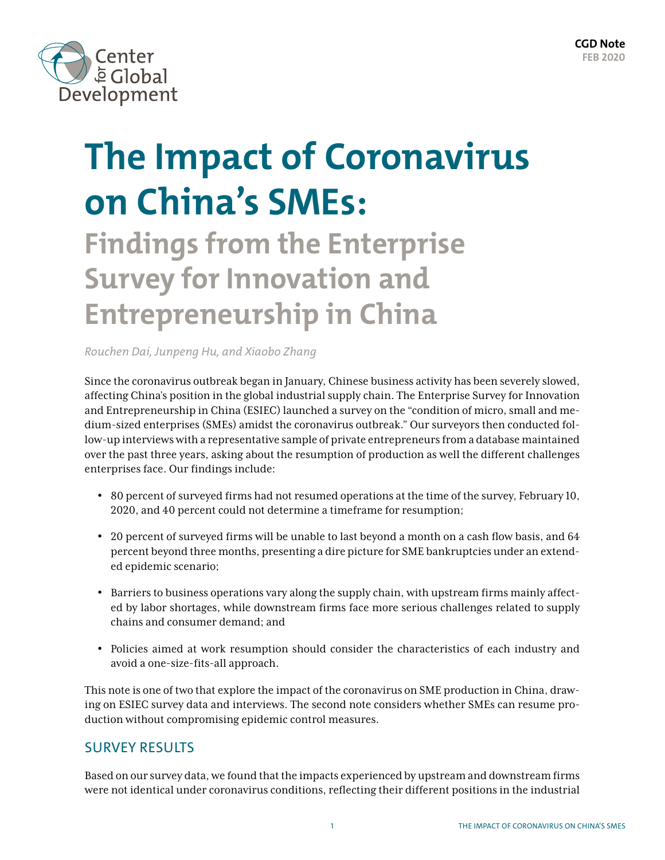

# **The Impact of Coronavirus on China's SMEs:**

# **Findings from the Enterprise Survey for Innovation and Entrepreneurship in China**

*Rouchen Dai, Junpeng Hu, and Xiaobo Zhang*

Since the coronavirus outbreak began in January, Chinese business activity has been severely slowed, affecting China's position in the global industrial supply chain. The Enterprise Survey for Innovation and Entrepreneurship in China (ESIEC) launched a survey on the "condition of micro, small and medium-sized enterprises (SMEs) amidst the coronavirus outbreak." Our surveyors then conducted follow-up interviews with a representative sample of private entrepreneurs from a database maintained over the past three years, asking about the resumption of production as well the different challenges enterprises face. Our findings include:

- 80 percent of surveyed firms had not resumed operations at the time of the survey, February 10, 2020, and 40 percent could not determine a timeframe for resumption;
- 20 percent of surveyed firms will be unable to last beyond a month on a cash flow basis, and 64 percent beyond three months, presenting a dire picture for SME bankruptcies under an extended epidemic scenario;
- Barriers to business operations vary along the supply chain, with upstream firms mainly affected by labor shortages, while downstream firms face more serious challenges related to supply chains and consumer demand; and
- Policies aimed at work resumption should consider the characteristics of each industry and avoid a one-size-fits-all approach.

This note is one of two that explore the impact of the coronavirus on SME production in China, drawing on ESIEC survey data and interviews. The second note considers whether SMEs can resume production without compromising epidemic control measures.

## SURVEY RESULTS

Based on our survey data, we found that the impacts experienced by upstream and downstream firms were not identical under coronavirus conditions, reflecting their different positions in the industrial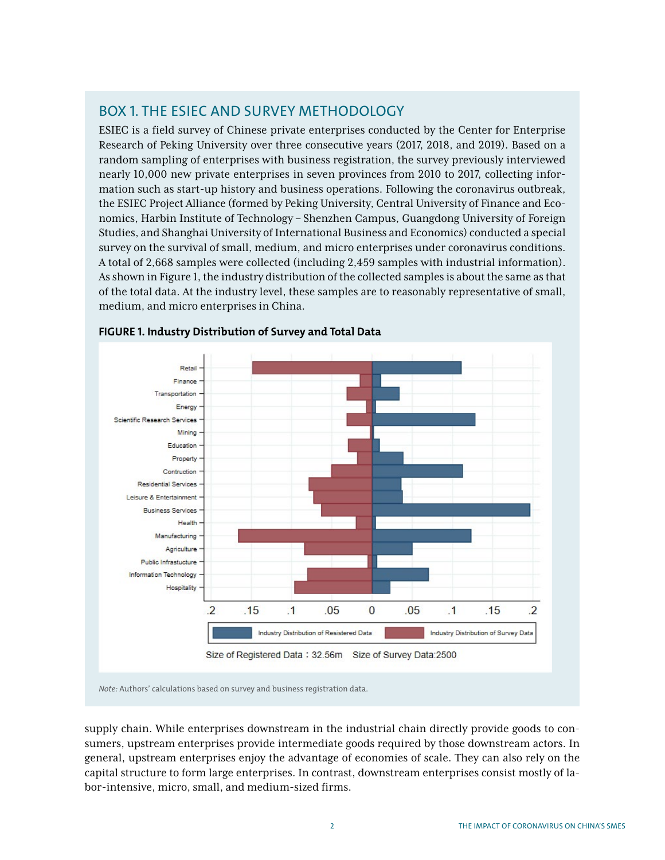# BOX 1. THE ESIEC AND SURVEY METHODOLOGY

ESIEC is a field survey of Chinese private enterprises conducted by the Center for Enterprise Research of Peking University over three consecutive years (2017, 2018, and 2019). Based on a random sampling of enterprises with business registration, the survey previously interviewed nearly 10,000 new private enterprises in seven provinces from 2010 to 2017, collecting information such as start-up history and business operations. Following the coronavirus outbreak, the ESIEC Project Alliance (formed by Peking University, Central University of Finance and Economics, Harbin Institute of Technology – Shenzhen Campus, Guangdong University of Foreign Studies, and Shanghai University of International Business and Economics) conducted a special survey on the survival of small, medium, and micro enterprises under coronavirus conditions. A total of 2,668 samples were collected (including 2,459 samples with industrial information). As shown in Figure 1, the industry distribution of the collected samples is about the same as that of the total data. At the industry level, these samples are to reasonably representative of small, medium, and micro enterprises in China.



#### **FIGURE 1. Industry Distribution of Survey and Total Data**

supply chain. While enterprises downstream in the industrial chain directly provide goods to consumers, upstream enterprises provide intermediate goods required by those downstream actors. In general, upstream enterprises enjoy the advantage of economies of scale. They can also rely on the capital structure to form large enterprises. In contrast, downstream enterprises consist mostly of labor-intensive, micro, small, and medium-sized firms.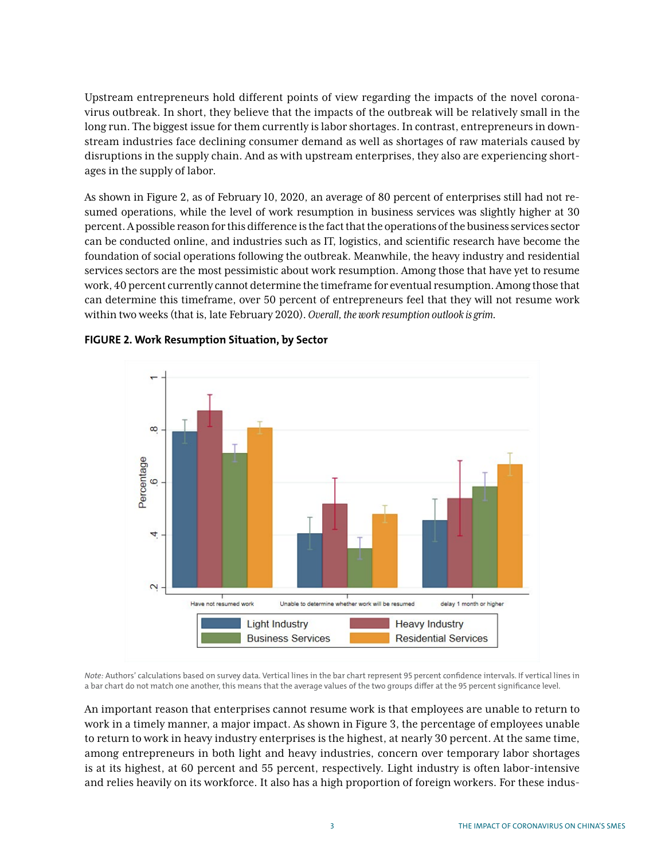Upstream entrepreneurs hold different points of view regarding the impacts of the novel coronavirus outbreak. In short, they believe that the impacts of the outbreak will be relatively small in the long run. The biggest issue for them currently is labor shortages. In contrast, entrepreneurs in downstream industries face declining consumer demand as well as shortages of raw materials caused by disruptions in the supply chain. And as with upstream enterprises, they also are experiencing shortages in the supply of labor.

As shown in Figure 2, as of February 10, 2020, an average of 80 percent of enterprises still had not resumed operations, while the level of work resumption in business services was slightly higher at 30 percent. A possible reason for this difference is the fact that the operations of the business services sector can be conducted online, and industries such as IT, logistics, and scientific research have become the foundation of social operations following the outbreak. Meanwhile, the heavy industry and residential services sectors are the most pessimistic about work resumption. Among those that have yet to resume work, 40 percent currently cannot determine the timeframe for eventual resumption. Among those that can determine this timeframe, over 50 percent of entrepreneurs feel that they will not resume work within two weeks (that is, late February 2020). *Overall, the work resumption outlook is grim.*



#### **FIGURE 2. Work Resumption Situation, by Sector**

*Note:* Authors' calculations based on survey data. Vertical lines in the bar chart represent 95 percent confidence intervals. If vertical lines in a bar chart do not match one another, this means that the average values of the two groups differ at the 95 percent significance level.

An important reason that enterprises cannot resume work is that employees are unable to return to work in a timely manner, a major impact. As shown in Figure 3, the percentage of employees unable to return to work in heavy industry enterprises is the highest, at nearly 30 percent. At the same time, among entrepreneurs in both light and heavy industries, concern over temporary labor shortages is at its highest, at 60 percent and 55 percent, respectively. Light industry is often labor-intensive and relies heavily on its workforce. It also has a high proportion of foreign workers. For these indus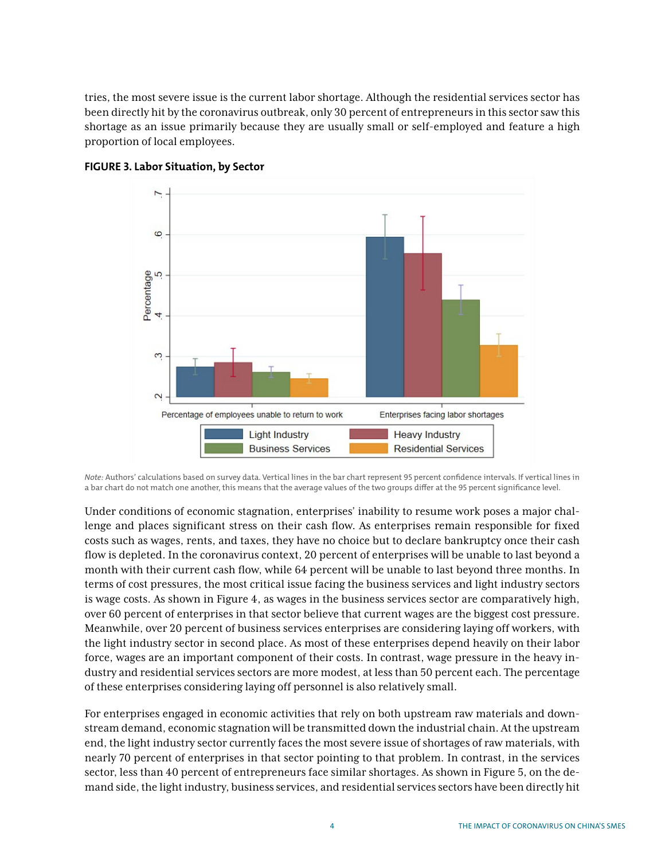tries, the most severe issue is the current labor shortage. Although the residential services sector has been directly hit by the coronavirus outbreak, only 30 percent of entrepreneurs in this sector saw this shortage as an issue primarily because they are usually small or self-employed and feature a high proportion of local employees.





*Note:* Authors' calculations based on survey data. Vertical lines in the bar chart represent 95 percent confidence intervals. If vertical lines in a bar chart do not match one another, this means that the average values of the two groups differ at the 95 percent significance level.

Under conditions of economic stagnation, enterprises' inability to resume work poses a major challenge and places significant stress on their cash flow. As enterprises remain responsible for fixed costs such as wages, rents, and taxes, they have no choice but to declare bankruptcy once their cash flow is depleted. In the coronavirus context, 20 percent of enterprises will be unable to last beyond a month with their current cash flow, while 64 percent will be unable to last beyond three months. In terms of cost pressures, the most critical issue facing the business services and light industry sectors is wage costs. As shown in Figure 4, as wages in the business services sector are comparatively high, over 60 percent of enterprises in that sector believe that current wages are the biggest cost pressure. Meanwhile, over 20 percent of business services enterprises are considering laying off workers, with the light industry sector in second place. As most of these enterprises depend heavily on their labor force, wages are an important component of their costs. In contrast, wage pressure in the heavy industry and residential services sectors are more modest, at less than 50 percent each. The percentage of these enterprises considering laying off personnel is also relatively small.

For enterprises engaged in economic activities that rely on both upstream raw materials and downstream demand, economic stagnation will be transmitted down the industrial chain. At the upstream end, the light industry sector currently faces the most severe issue of shortages of raw materials, with nearly 70 percent of enterprises in that sector pointing to that problem. In contrast, in the services sector, less than 40 percent of entrepreneurs face similar shortages. As shown in Figure 5, on the demand side, the light industry, business services, and residential services sectors have been directly hit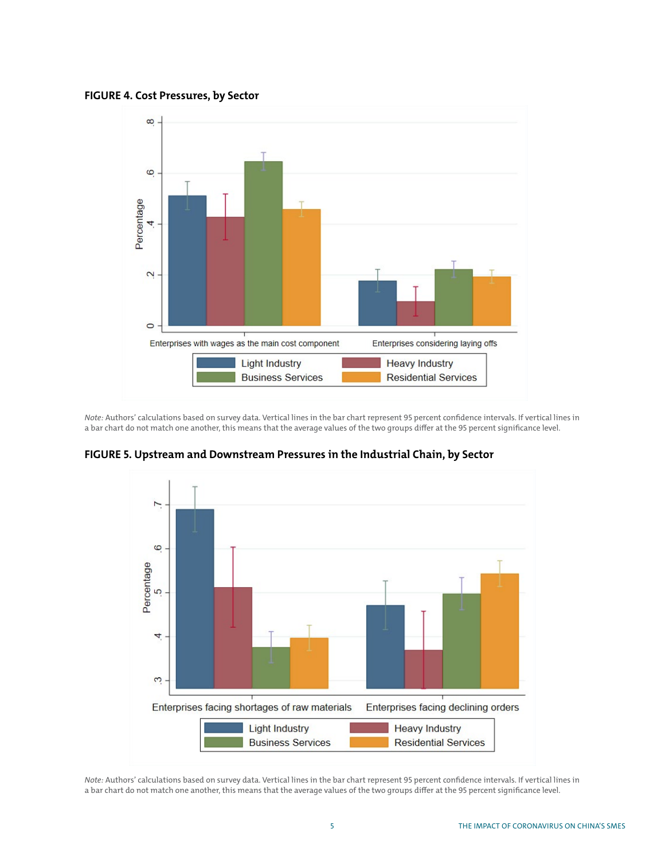**FIGURE 4. Cost Pressures, by Sector**



*Note:* Authors' calculations based on survey data. Vertical lines in the bar chart represent 95 percent confidence intervals. If vertical lines in a bar chart do not match one another, this means that the average values of the two groups differ at the 95 percent significance level.



**FIGURE 5. Upstream and Downstream Pressures in the Industrial Chain, by Sector**

*Note:* Authors' calculations based on survey data. Vertical lines in the bar chart represent 95 percent confidence intervals. If vertical lines in a bar chart do not match one another, this means that the average values of the two groups differ at the 95 percent significance level.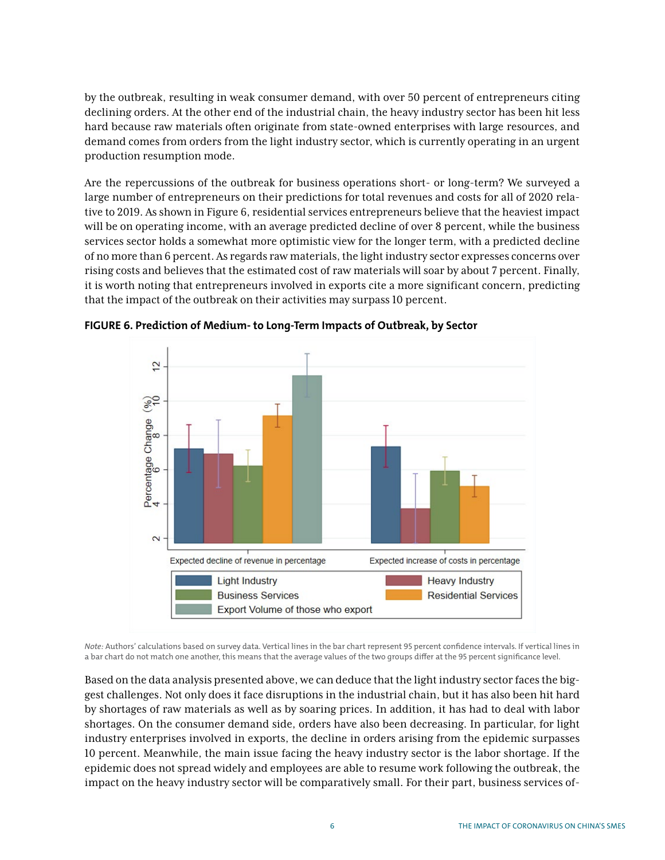by the outbreak, resulting in weak consumer demand, with over 50 percent of entrepreneurs citing declining orders. At the other end of the industrial chain, the heavy industry sector has been hit less hard because raw materials often originate from state-owned enterprises with large resources, and demand comes from orders from the light industry sector, which is currently operating in an urgent production resumption mode.

Are the repercussions of the outbreak for business operations short- or long-term? We surveyed a large number of entrepreneurs on their predictions for total revenues and costs for all of 2020 relative to 2019. As shown in Figure 6, residential services entrepreneurs believe that the heaviest impact will be on operating income, with an average predicted decline of over 8 percent, while the business services sector holds a somewhat more optimistic view for the longer term, with a predicted decline of no more than 6 percent. As regards raw materials, the light industry sector expresses concerns over rising costs and believes that the estimated cost of raw materials will soar by about 7 percent. Finally, it is worth noting that entrepreneurs involved in exports cite a more significant concern, predicting that the impact of the outbreak on their activities may surpass 10 percent.



**FIGURE 6. Prediction of Medium- to Long-Term Impacts of Outbreak, by Sector**

*Note:* Authors' calculations based on survey data. Vertical lines in the bar chart represent 95 percent confidence intervals. If vertical lines in a bar chart do not match one another, this means that the average values of the two groups differ at the 95 percent significance level.

Based on the data analysis presented above, we can deduce that the light industry sector faces the biggest challenges. Not only does it face disruptions in the industrial chain, but it has also been hit hard by shortages of raw materials as well as by soaring prices. In addition, it has had to deal with labor shortages. On the consumer demand side, orders have also been decreasing. In particular, for light industry enterprises involved in exports, the decline in orders arising from the epidemic surpasses 10 percent. Meanwhile, the main issue facing the heavy industry sector is the labor shortage. If the epidemic does not spread widely and employees are able to resume work following the outbreak, the impact on the heavy industry sector will be comparatively small. For their part, business services of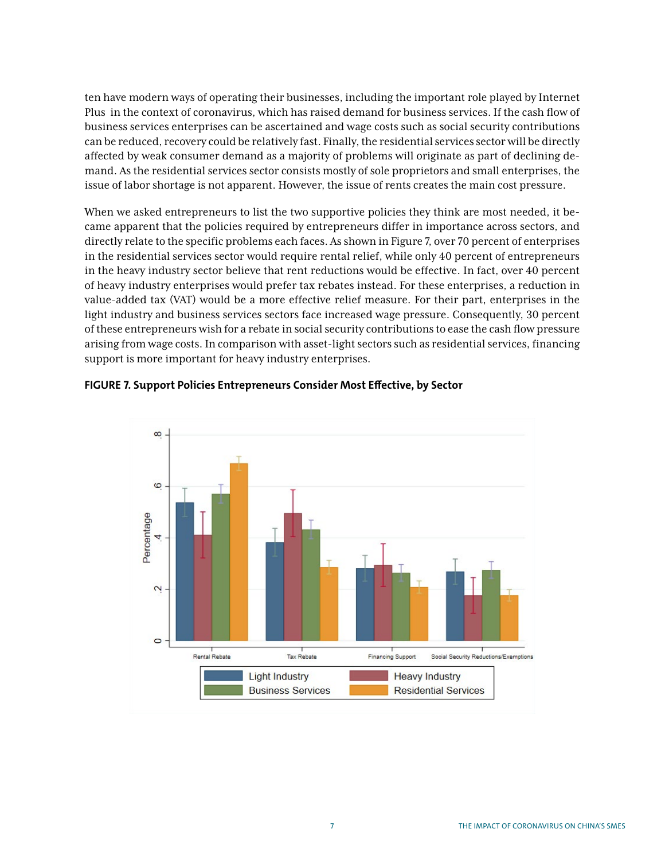ten have modern ways of operating their businesses, including the important role played by Internet Plus in the context of coronavirus, which has raised demand for business services. If the cash flow of business services enterprises can be ascertained and wage costs such as social security contributions can be reduced, recovery could be relatively fast. Finally, the residential services sector will be directly affected by weak consumer demand as a majority of problems will originate as part of declining demand. As the residential services sector consists mostly of sole proprietors and small enterprises, the issue of labor shortage is not apparent. However, the issue of rents creates the main cost pressure.

When we asked entrepreneurs to list the two supportive policies they think are most needed, it became apparent that the policies required by entrepreneurs differ in importance across sectors, and directly relate to the specific problems each faces. As shown in Figure 7, over 70 percent of enterprises in the residential services sector would require rental relief, while only 40 percent of entrepreneurs in the heavy industry sector believe that rent reductions would be effective. In fact, over 40 percent of heavy industry enterprises would prefer tax rebates instead. For these enterprises, a reduction in value-added tax (VAT) would be a more effective relief measure. For their part, enterprises in the light industry and business services sectors face increased wage pressure. Consequently, 30 percent of these entrepreneurs wish for a rebate in social security contributions to ease the cash flow pressure arising from wage costs. In comparison with asset-light sectors such as residential services, financing support is more important for heavy industry enterprises.



#### **FIGURE 7. Support Policies Entrepreneurs Consider Most Effective, by Sector**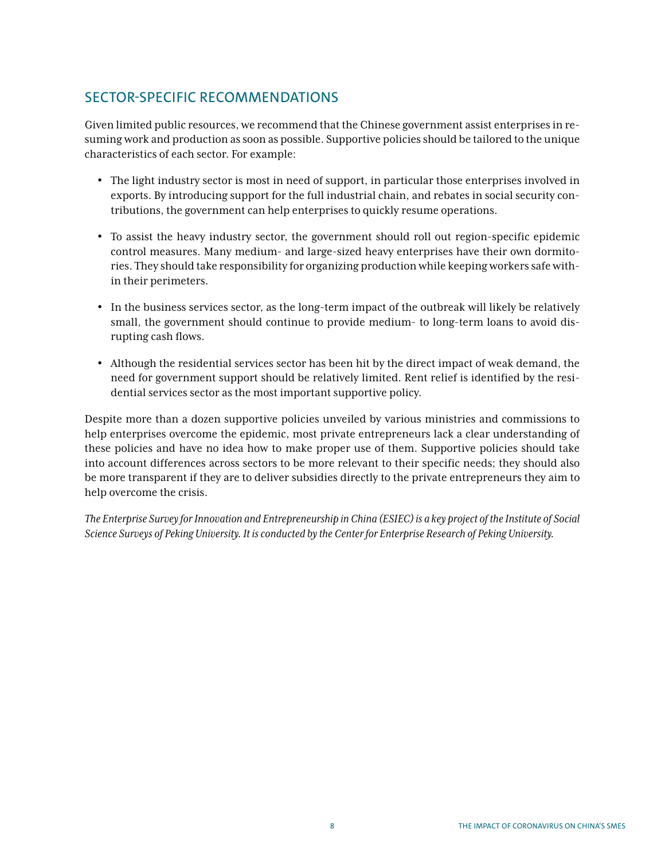## SECTOR-SPECIFIC RECOMMENDATIONS

Given limited public resources, we recommend that the Chinese government assist enterprises in resuming work and production as soon as possible. Supportive policies should be tailored to the unique characteristics of each sector. For example:

- The light industry sector is most in need of support, in particular those enterprises involved in exports. By introducing support for the full industrial chain, and rebates in social security contributions, the government can help enterprises to quickly resume operations.
- To assist the heavy industry sector, the government should roll out region-specific epidemic control measures. Many medium- and large-sized heavy enterprises have their own dormitories. They should take responsibility for organizing production while keeping workers safe within their perimeters.
- In the business services sector, as the long-term impact of the outbreak will likely be relatively small, the government should continue to provide medium- to long-term loans to avoid disrupting cash flows.
- Although the residential services sector has been hit by the direct impact of weak demand, the need for government support should be relatively limited. Rent relief is identified by the residential services sector as the most important supportive policy.

Despite more than a dozen supportive policies unveiled by various ministries and commissions to help enterprises overcome the epidemic, most private entrepreneurs lack a clear understanding of these policies and have no idea how to make proper use of them. Supportive policies should take into account differences across sectors to be more relevant to their specific needs; they should also be more transparent if they are to deliver subsidies directly to the private entrepreneurs they aim to help overcome the crisis.

*The Enterprise Survey for Innovation and Entrepreneurship in China (ESIEC) is a key project of the Institute of Social Science Surveys of Peking University. It is conducted by the Center for Enterprise Research of Peking University.*